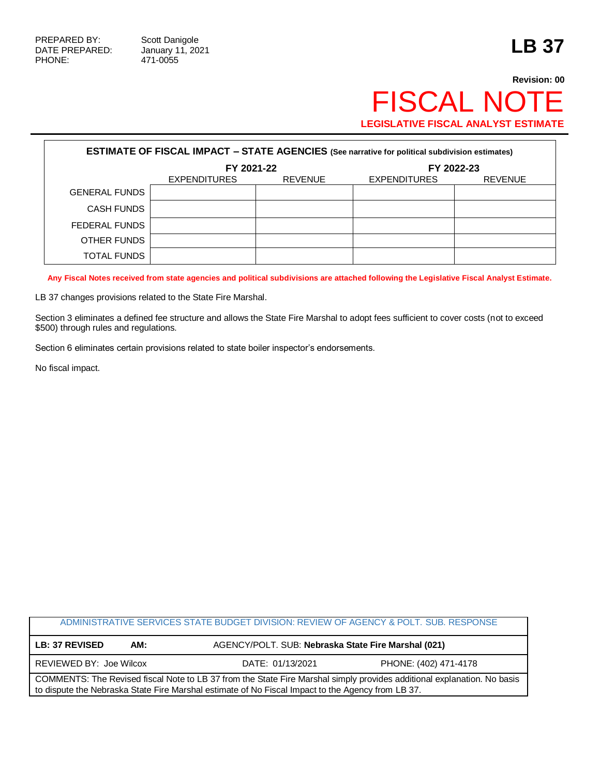Г

## **Revision: 00** FISCAL NOTE **LEGISLATIVE FISCAL ANALYST ESTIMATE**

| <b>ESTIMATE OF FISCAL IMPACT - STATE AGENCIES (See narrative for political subdivision estimates)</b> |                     |                |                     |                |  |
|-------------------------------------------------------------------------------------------------------|---------------------|----------------|---------------------|----------------|--|
|                                                                                                       | FY 2021-22          |                | FY 2022-23          |                |  |
|                                                                                                       | <b>EXPENDITURES</b> | <b>REVENUE</b> | <b>EXPENDITURES</b> | <b>REVENUE</b> |  |
| <b>GENERAL FUNDS</b>                                                                                  |                     |                |                     |                |  |
| CASH FUNDS                                                                                            |                     |                |                     |                |  |
| FEDERAL FUNDS                                                                                         |                     |                |                     |                |  |
| OTHER FUNDS                                                                                           |                     |                |                     |                |  |
| TOTAL FUNDS                                                                                           |                     |                |                     |                |  |

**Any Fiscal Notes received from state agencies and political subdivisions are attached following the Legislative Fiscal Analyst Estimate.**

LB 37 changes provisions related to the State Fire Marshal.

Section 3 eliminates a defined fee structure and allows the State Fire Marshal to adopt fees sufficient to cover costs (not to exceed \$500) through rules and regulations.

Section 6 eliminates certain provisions related to state boiler inspector's endorsements.

No fiscal impact.

|                                                                                                                                                                                                                              |     | ADMINISTRATIVE SERVICES STATE BUDGET DIVISION: REVIEW OF AGENCY & POLT. SUB. RESPONSE |                                                     |  |  |
|------------------------------------------------------------------------------------------------------------------------------------------------------------------------------------------------------------------------------|-----|---------------------------------------------------------------------------------------|-----------------------------------------------------|--|--|
| <b>LB: 37 REVISED</b>                                                                                                                                                                                                        | AM: |                                                                                       | AGENCY/POLT. SUB: Nebraska State Fire Marshal (021) |  |  |
| REVIEWED BY: Joe Wilcox                                                                                                                                                                                                      |     | DATE: 01/13/2021                                                                      | PHONE: (402) 471-4178                               |  |  |
| COMMENTS: The Revised fiscal Note to LB 37 from the State Fire Marshal simply provides additional explanation. No basis<br>to dispute the Nebraska State Fire Marshal estimate of No Fiscal Impact to the Agency from LB 37. |     |                                                                                       |                                                     |  |  |